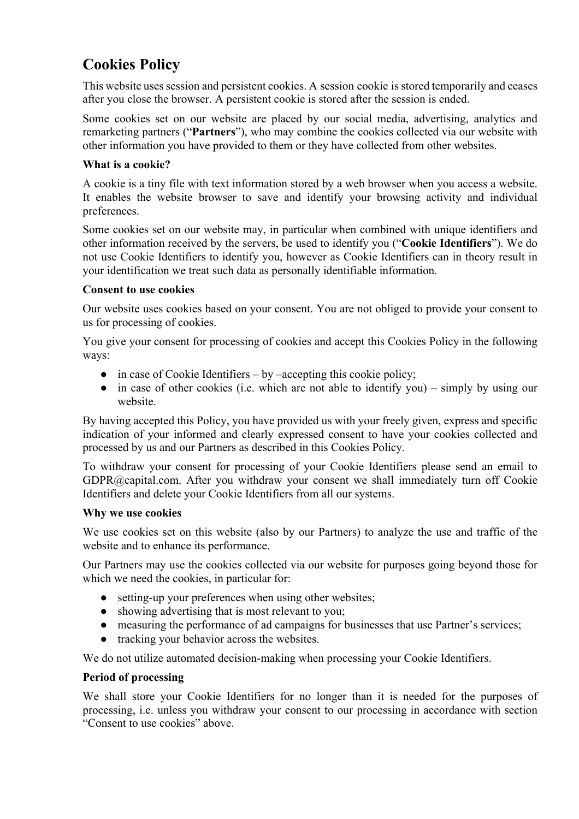# **Cookies Policy**

This website uses session and persistent cookies. A session cookie is stored temporarily and ceases after you close the browser. A persistent cookie is stored after the session is ended.

Some cookies set on our website are placed by our social media, advertising, analytics and remarketing partners ("**Partners**"), who may combine the cookies collected via our website with other information you have provided to them or they have collected from other websites.

## **What is a cookie?**

A cookie is a tiny file with text information stored by a web browser when you access a website. It enables the website browser to save and identify your browsing activity and individual preferences.

Some cookies set on our website may, in particular when combined with unique identifiers and other information received by the servers, be used to identify you ("**Cookie Identifiers**"). We do not use Cookie Identifiers to identify you, however as Cookie Identifiers can in theory result in your identification we treat such data as personally identifiable information.

## **Consent to use cookies**

Our website uses cookies based on your consent. You are not obliged to provide your consent to us for processing of cookies.

You give your consent for processing of cookies and accept this Cookies Policy in the following ways:

- $\bullet$  in case of Cookie Identifiers by –accepting this cookie policy;
- in case of other cookies (i.e. which are not able to identify you) simply by using our website.

By having accepted this Policy, you have provided us with your freely given, express and specific indication of your informed and clearly expressed consent to have your cookies collected and processed by us and our Partners as described in this Cookies Policy.

To withdraw your consent for processing of your Cookie Identifiers please send an email to GDPR@capital.com. After you withdraw your consent we shall immediately turn off Cookie Identifiers and delete your Cookie Identifiers from all our systems.

## **Why we use cookies**

We use cookies set on this website (also by our Partners) to analyze the use and traffic of the website and to enhance its performance.

Our Partners may use the cookies collected via our website for purposes going beyond those for which we need the cookies, in particular for:

- setting-up your preferences when using other websites;
- showing advertising that is most relevant to you;
- measuring the performance of ad campaigns for businesses that use Partner's services;
- tracking your behavior across the websites.

We do not utilize automated decision-making when processing your Cookie Identifiers.

## **Period of processing**

We shall store your Cookie Identifiers for no longer than it is needed for the purposes of processing, i.e. unless you withdraw your consent to our processing in accordance with section "Consent to use cookies" above.